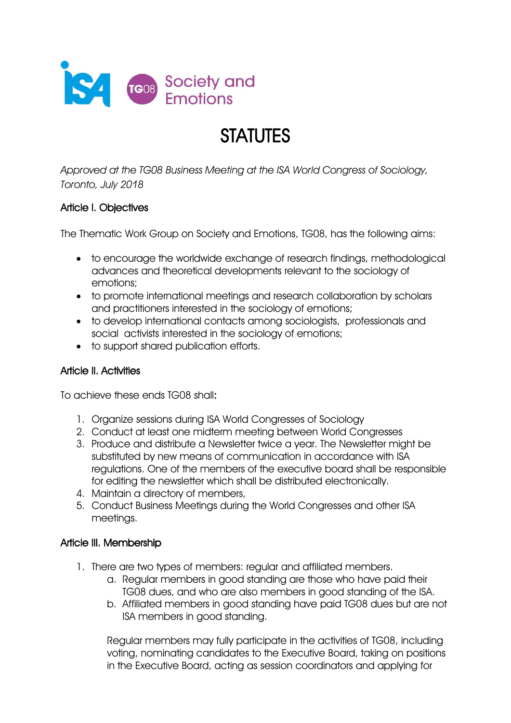

# **STATUTES**

*Approved at the TG08 Business Meeting at the ISA World Congress of Sociology, Toronto, July 2018*

## Article I. Objectives

The Thematic Work Group on Society and Emotions, TG08, has the following aims:

- to encourage the worldwide exchange of research findings, methodological advances and theoretical developments relevant to the sociology of emotions;
- to promote international meetings and research collaboration by scholars and practitioners interested in the sociology of emotions;
- to develop international contacts among sociologists, professionals and social activists interested in the sociology of emotions;
- to support shared publication efforts.

#### Article II. Activities

To achieve these ends TG08 shall:

- 1. Organize sessions during ISA World Congresses of Sociology
- 2. Conduct at least one midterm meeting between World Congresses
- 3. Produce and distribute a Newsletter twice a year. The Newsletter might be substituted by new means of communication in accordance with ISA regulations. One of the members of the executive board shall be responsible for editing the newsletter which shall be distributed electronically.
- 4. Maintain a directory of members,
- 5. Conduct Business Meetings during the World Congresses and other ISA meetings.

#### Article III. Membership

- 1. There are two types of members: regular and affiliated members.
	- a. Regular members in good standing are those who have paid their TG08 dues, and who are also members in good standing of the ISA.
	- b. Affiliated members in good standing have paid TG08 dues but are not ISA members in good standing.

Regular members may fully participate in the activities of TG08, including voting, nominating candidates to the Executive Board, taking on positions in the Executive Board, acting as session coordinators and applying for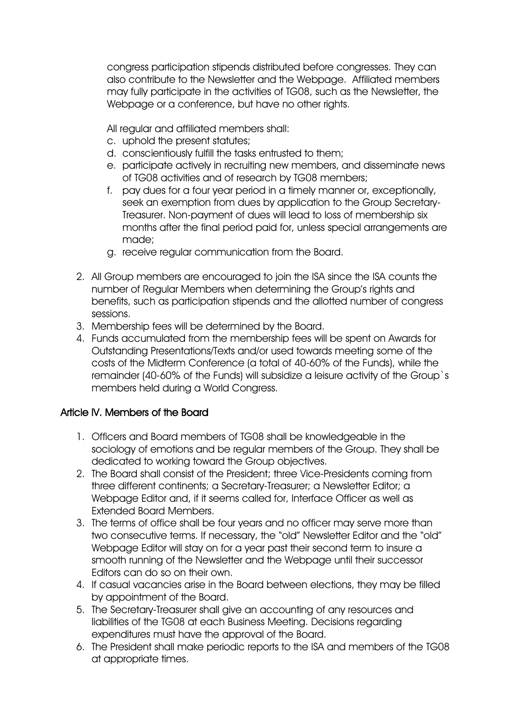congress participation stipends distributed before congresses. They can also contribute to the Newsletter and the Webpage. Affiliated members may fully participate in the activities of TG08, such as the Newsletter, the Webpage or a conference, but have no other rights.

All regular and affiliated members shall:

- c. uphold the present statutes;
- d. conscientiously fulfill the tasks entrusted to them;
- e. participate actively in recruiting new members, and disseminate news of TG08 activities and of research by TG08 members;
- f. pay dues for a four year period in a timely manner or, exceptionally, seek an exemption from dues by application to the Group Secretary-Treasurer. Non-payment of dues will lead to loss of membership six months after the final period paid for, unless special arrangements are made;
- g. receive regular communication from the Board.
- 2. All Group members are encouraged to join the ISA since the ISA counts the number of Regular Members when determining the Group's rights and benefits, such as participation stipends and the allotted number of congress sessions.
- 3. Membership fees will be determined by the Board.
- 4. Funds accumulated from the membership fees will be spent on Awards for Outstanding Presentations/Texts and/or used towards meeting some of the costs of the Midterm Conference (a total of 40-60% of the Funds), while the remainder (40-60% of the Funds) will subsidize a leisure activity of the Group`s members held during a World Congress.

#### Article IV. Members of the Board

- 1. Officers and Board members of TG08 shall be knowledgeable in the sociology of emotions and be regular members of the Group. They shall be dedicated to working toward the Group objectives.
- 2. The Board shall consist of the President; three Vice-Presidents coming from three different continents; a Secretary-Treasurer; a Newsletter Editor; a Webpage Editor and, if it seems called for, Interface Officer as well as Extended Board Members.
- 3. The terms of office shall be four years and no officer may serve more than two consecutive terms. If necessary, the "old" Newsletter Editor and the "old" Webpage Editor will stay on for a year past their second term to insure a smooth running of the Newsletter and the Webpage until their successor Editors can do so on their own.
- 4. If casual vacancies arise in the Board between elections, they may be filled by appointment of the Board.
- 5. The Secretary-Treasurer shall give an accounting of any resources and liabilities of the TG08 at each Business Meeting. Decisions regarding expenditures must have the approval of the Board.
- 6. The President shall make periodic reports to the ISA and members of the TG08 at appropriate times.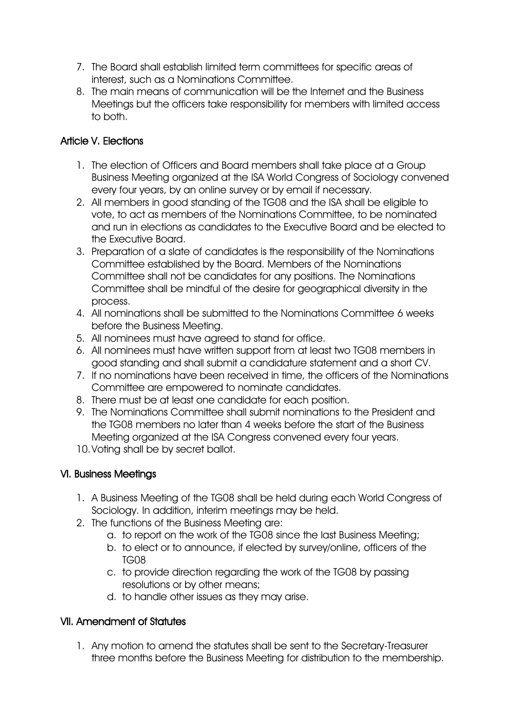- 7. The Board shall establish limited term committees for specific areas of interest, such as a Nominations Committee.
- 8. The main means of communication will be the Internet and the Business Meetings but the officers take responsibility for members with limited access to both.

## Article V. Elections

- 1. The election of Officers and Board members shall take place at a Group Business Meeting organized at the ISA World Congress of Sociology convened every four years, by an online survey or by email if necessary.
- 2. All members in good standing of the TG08 and the ISA shall be eligible to vote, to act as members of the Nominations Committee, to be nominated and run in elections as candidates to the Executive Board and be elected to the Executive Board.
- 3. Preparation of a slate of candidates is the responsibility of the Nominations Committee established by the Board. Members of the Nominations Committee shall not be candidates for any positions. The Nominations Committee shall be mindful of the desire for geographical diversity in the process.
- 4. All nominations shall be submitted to the Nominations Committee 6 weeks before the Business Meeting.
- 5. All nominees must have agreed to stand for office.
- 6. All nominees must have written support from at least two TG08 members in good standing and shall submit a candidature statement and a short CV.
- 7. If no nominations have been received in time, the officers of the Nominations Committee are empowered to nominate candidates.
- 8. There must be at least one candidate for each position.
- 9. The Nominations Committee shall submit nominations to the President and the TG08 members no later than 4 weeks before the start of the Business Meeting organized at the ISA Congress convened every four years.
- 10.Voting shall be by secret ballot.

## VI. Business Meetings

- 1. A Business Meeting of the TG08 shall be held during each World Congress of Sociology. In addition, interim meetings may be held.
- 2. The functions of the Business Meeting are:
	- a. to report on the work of the TG08 since the last Business Meeting;
	- b. to elect or to announce, if elected by survey/online, officers of the TG08
	- c. to provide direction regarding the work of the TG08 by passing resolutions or by other means;
	- d. to handle other issues as they may arise.

## VII. Amendment of Statutes

1. Any motion to amend the statutes shall be sent to the Secretary-Treasurer three months before the Business Meeting for distribution to the membership.